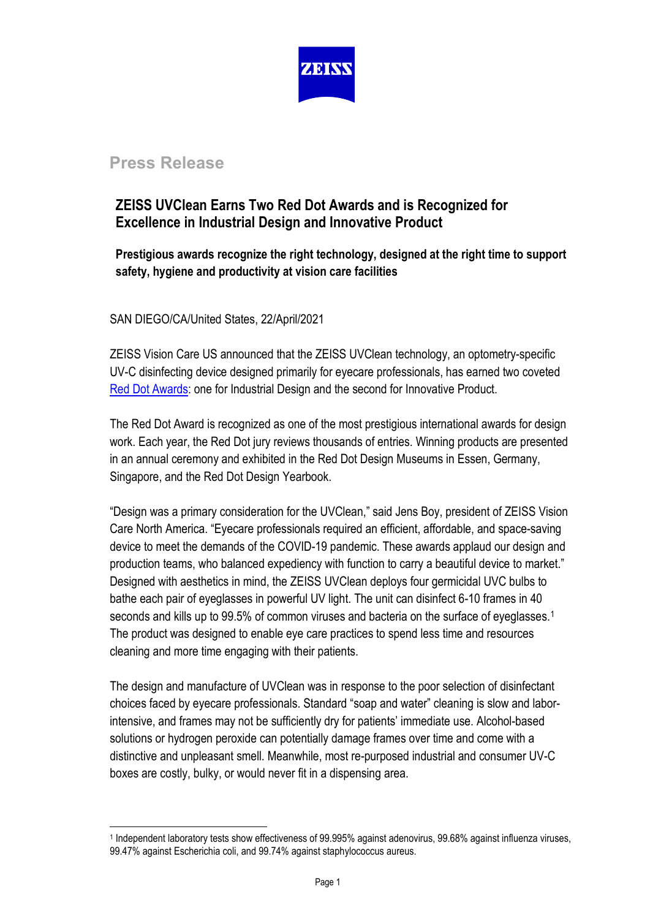

# **Press Release**

## **ZEISS UVClean Earns Two Red Dot Awards and is Recognized for Excellence in Industrial Design and Innovative Product**

**Prestigious awards recognize the right technology, designed at the right time to support safety, hygiene and productivity at vision care facilities**

SAN DIEGO/CA/United States, 22/April/2021

ZEISS Vision Care US announced that the ZEISS UVClean technology, an optometry-specific UV-C disinfecting device designed primarily for eyecare professionals, has earned two coveted [Red Dot Awards:](https://www.red-dot.org/about-red-dot) one for Industrial Design and the second for Innovative Product.

The Red Dot Award is recognized as one of the most prestigious international awards for design work. Each year, the Red Dot jury reviews thousands of entries. Winning products are presented in an annual ceremony and exhibited in the Red Dot Design Museums in Essen, Germany, Singapore, and the Red Dot Design Yearbook.

"Design was a primary consideration for the UVClean," said Jens Boy, president of ZEISS Vision Care North America. "Eyecare professionals required an efficient, affordable, and space-saving device to meet the demands of the COVID-19 pandemic. These awards applaud our design and production teams, who balanced expediency with function to carry a beautiful device to market." Designed with aesthetics in mind, the ZEISS UVClean deploys four germicidal UVC bulbs to bathe each pair of eyeglasses in powerful UV light. The unit can disinfect 6-10 frames in 40 seconds and kills up to 99.5% of common viruses and bacteria on the surface of eyeglasses.<sup>[1](#page-0-0)</sup> The product was designed to enable eye care practices to spend less time and resources cleaning and more time engaging with their patients.

The design and manufacture of UVClean was in response to the poor selection of disinfectant choices faced by eyecare professionals. Standard "soap and water" cleaning is slow and laborintensive, and frames may not be sufficiently dry for patients' immediate use. Alcohol-based solutions or hydrogen peroxide can potentially damage frames over time and come with a distinctive and unpleasant smell. Meanwhile, most re-purposed industrial and consumer UV-C boxes are costly, bulky, or would never fit in a dispensing area.

<span id="page-0-0"></span><sup>1</sup> Independent laboratory tests show effectiveness of 99.995% against adenovirus, 99.68% against influenza viruses, 99.47% against Escherichia coli, and 99.74% against staphylococcus aureus.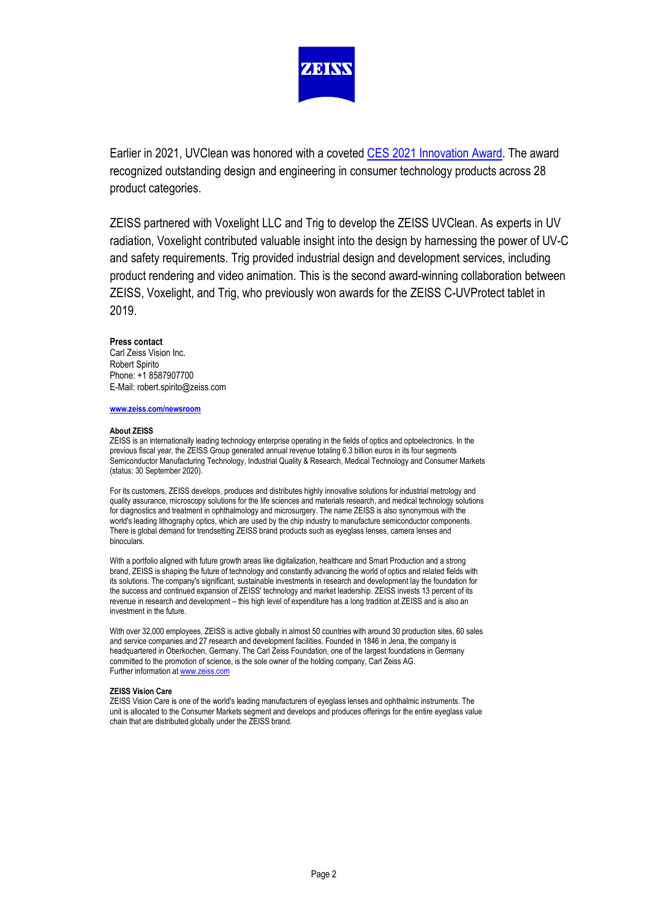

Earlier in 2021, UVClean was honored with a coveted [CES 2021 Innovation Award.](https://www.zeiss.com/vision-care/int/about-us/newsroom/news-overview/2021/zeiss-uvclean-is-named-ces-innovation-awards-honoree.html) The award recognized outstanding design and engineering in consumer technology products across 28 product categories.

ZEISS partnered with Voxelight LLC and Trig to develop the ZEISS UVClean. As experts in UV radiation, Voxelight contributed valuable insight into the design by harnessing the power of UV-C and safety requirements. Trig provided industrial design and development services, including product rendering and video animation. This is the second award-winning collaboration between ZEISS, Voxelight, and Trig, who previously won awards for the ZEISS C-UVProtect tablet in 2019.

### **Press contact**

Carl Zeiss Vision Inc. Robert Spirito Phone: +1 8587907700 E-Mail: robert.spirito@zeiss.com

#### **[www.zeiss.com/newsroom](http://www.zeiss.com/newsroom)**

#### **About ZEISS**

ZEISS is an internationally leading technology enterprise operating in the fields of optics and optoelectronics. In the previous fiscal year, the ZEISS Group generated annual revenue totaling 6.3 billion euros in its four segments Semiconductor Manufacturing Technology, Industrial Quality & Research, Medical Technology and Consumer Markets (status: 30 September 2020).

For its customers, ZEISS develops, produces and distributes highly innovative solutions for industrial metrology and quality assurance, microscopy solutions for the life sciences and materials research, and medical technology solutions for diagnostics and treatment in ophthalmology and microsurgery. The name ZEISS is also synonymous with the world's leading lithography optics, which are used by the chip industry to manufacture semiconductor components. There is global demand for trendsetting ZEISS brand products such as eyeglass lenses, camera lenses and binoculars.

With a portfolio aligned with future growth areas like digitalization, healthcare and Smart Production and a strong brand, ZEISS is shaping the future of technology and constantly advancing the world of optics and related fields with its solutions. The company's significant, sustainable investments in research and development lay the foundation for the success and continued expansion of ZEISS' technology and market leadership. ZEISS invests 13 percent of its revenue in research and development – this high level of expenditure has a long tradition at ZEISS and is also an investment in the future.

With over 32,000 employees, ZEISS is active globally in almost 50 countries with around 30 production sites, 60 sales and service companies and 27 research and development facilities. Founded in 1846 in Jena, the company is headquartered in Oberkochen, Germany. The Carl Zeiss Foundation, one of the largest foundations in Germany committed to the promotion of science, is the sole owner of the holding company, Carl Zeiss AG. Further information a[t www.zeiss.com](http://www.zeiss.com/) 

#### **ZEISS Vision Care**

ZEISS Vision Care is one of the world's leading manufacturers of eyeglass lenses and ophthalmic instruments. The unit is allocated to the Consumer Markets segment and develops and produces offerings for the entire eyeglass value chain that are distributed globally under the ZEISS brand.